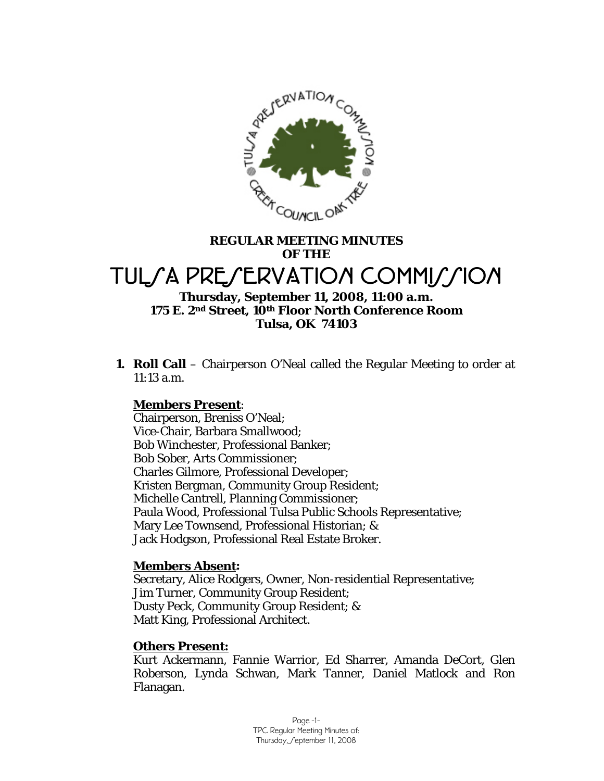

# **REGULAR MEETING MINUTES OF THE**  TUL*SA PRESERVATION COMMISSION*

# **Thursday, September 11, 2008, 11:00 a.m. 175 E. 2nd Street, 10th Floor North Conference Room Tulsa, OK 74103**

**1. Roll Call** – Chairperson O'Neal called the Regular Meeting to order at 11:13 a.m.

## **Members Present**:

Chairperson, Breniss O'Neal; Vice-Chair, Barbara Smallwood; Bob Winchester, Professional Banker; Bob Sober, Arts Commissioner; Charles Gilmore, Professional Developer; Kristen Bergman, Community Group Resident; Michelle Cantrell, Planning Commissioner; Paula Wood, Professional Tulsa Public Schools Representative; Mary Lee Townsend, Professional Historian; & Jack Hodgson, Professional Real Estate Broker.

#### **Members Absent:**

Secretary, Alice Rodgers, Owner, Non-residential Representative; Jim Turner, Community Group Resident; Dusty Peck, Community Group Resident; & Matt King, Professional Architect.

#### **Others Present:**

Kurt Ackermann, Fannie Warrior, Ed Sharrer, Amanda DeCort, Glen Roberson, Lynda Schwan, Mark Tanner, Daniel Matlock and Ron Flanagan.

> Page -1- TPC Regular Meeting Minutes of: Thursday, Geptember 11, 2008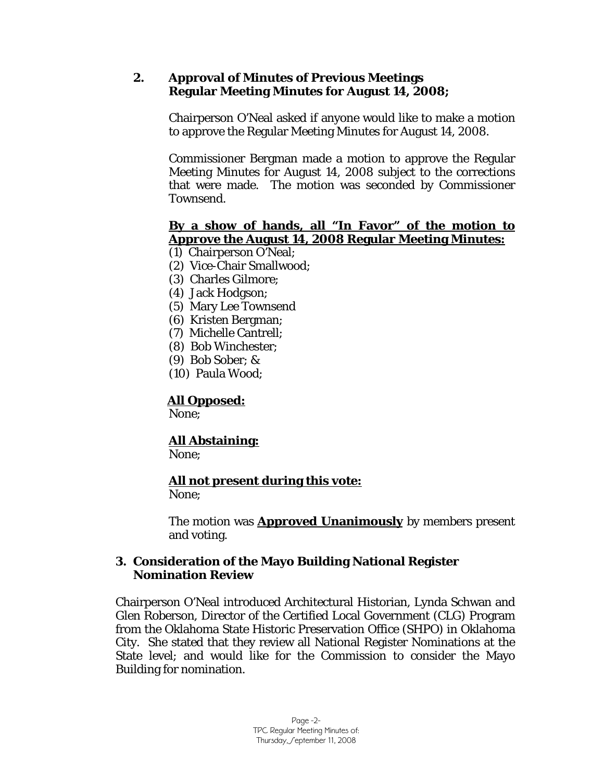## **2. Approval of Minutes of Previous Meetings Regular Meeting Minutes for August 14, 2008;**

Chairperson O'Neal asked if anyone would like to make a motion to approve the Regular Meeting Minutes for August 14, 2008.

Commissioner Bergman made a motion to approve the Regular Meeting Minutes for August 14, 2008 subject to the corrections that were made. The motion was seconded by Commissioner Townsend.

## **By a show of hands, all "In Favor" of the motion to Approve the August 14, 2008 Regular Meeting Minutes:**

- (1) Chairperson O'Neal;
- (2) Vice-Chair Smallwood;
- (3) Charles Gilmore;
- (4) Jack Hodgson;
- (5) Mary Lee Townsend
- (6) Kristen Bergman;
- (7) Michelle Cantrell;
- (8) Bob Winchester;
- (9) Bob Sober; &
- (10) Paula Wood;

# **All Opposed:**

None;

# **All Abstaining:**

None;

# **All not present during this vote:**

None;

The motion was **Approved Unanimously** by members present and voting.

## **3. Consideration of the Mayo Building National Register Nomination Review**

Chairperson O'Neal introduced Architectural Historian, Lynda Schwan and Glen Roberson, Director of the Certified Local Government (CLG) Program from the Oklahoma State Historic Preservation Office (SHPO) in Oklahoma City. She stated that they review all National Register Nominations at the State level; and would like for the Commission to consider the Mayo Building for nomination.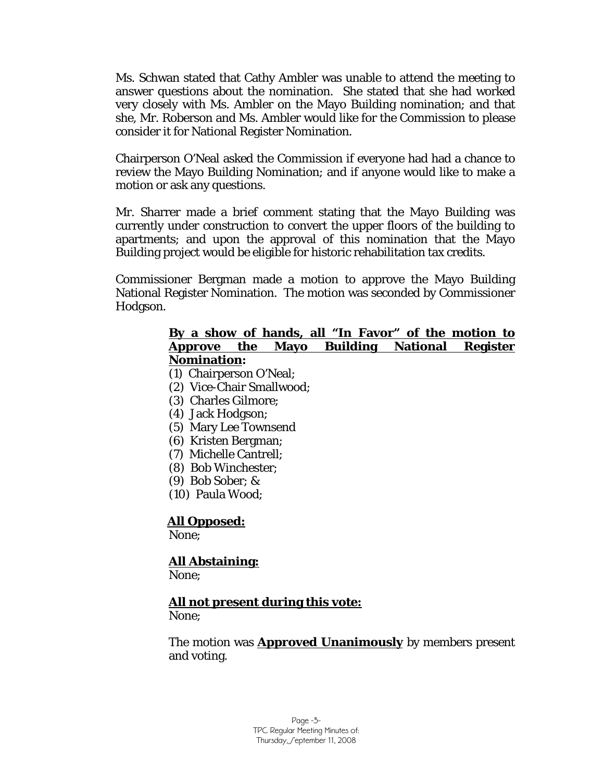Ms. Schwan stated that Cathy Ambler was unable to attend the meeting to answer questions about the nomination. She stated that she had worked very closely with Ms. Ambler on the Mayo Building nomination; and that she, Mr. Roberson and Ms. Ambler would like for the Commission to please consider it for National Register Nomination.

Chairperson O'Neal asked the Commission if everyone had had a chance to review the Mayo Building Nomination; and if anyone would like to make a motion or ask any questions.

Mr. Sharrer made a brief comment stating that the Mayo Building was currently under construction to convert the upper floors of the building to apartments; and upon the approval of this nomination that the Mayo Building project would be eligible for historic rehabilitation tax credits.

Commissioner Bergman made a motion to approve the Mayo Building National Register Nomination. The motion was seconded by Commissioner Hodgson.

### **By a show of hands, all "In Favor" of the motion to Approve the Mayo Building National Register Nomination:**

- (1) Chairperson O'Neal;
- (2) Vice-Chair Smallwood;
- (3) Charles Gilmore;
- (4) Jack Hodgson;
- (5) Mary Lee Townsend
- (6) Kristen Bergman;
- (7) Michelle Cantrell;
- (8) Bob Winchester;
- (9) Bob Sober; &
- (10) Paula Wood;

## **All Opposed:**

None;

# **All Abstaining:**

None;

# **All not present during this vote:**

None;

The motion was **Approved Unanimously** by members present and voting.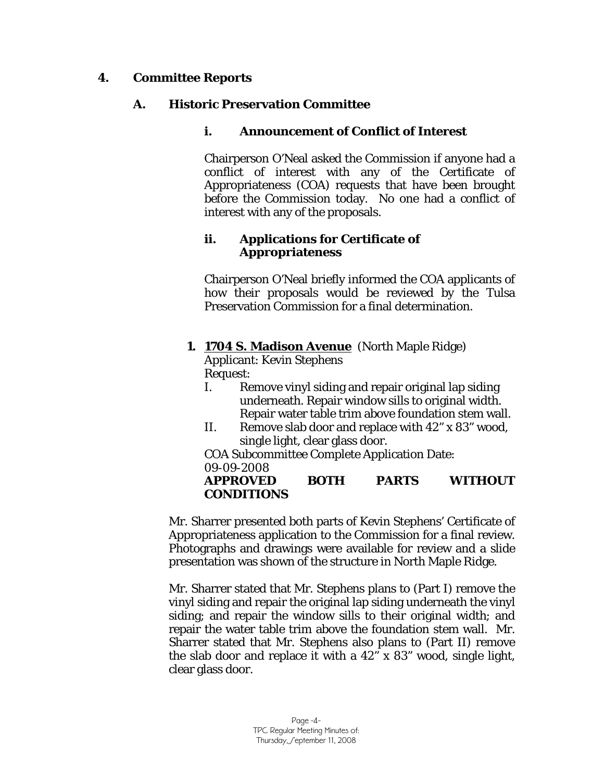## **4. Committee Reports**

## **A. Historic Preservation Committee**

## **i. Announcement of Conflict of Interest**

Chairperson O'Neal asked the Commission if anyone had a conflict of interest with any of the Certificate of Appropriateness (COA) requests that have been brought before the Commission today. No one had a conflict of interest with any of the proposals.

## **ii. Applications for Certificate of Appropriateness**

Chairperson O'Neal briefly informed the COA applicants of how their proposals would be reviewed by the Tulsa Preservation Commission for a final determination.

## **1. 1704 S. Madison Avenue** (North Maple Ridge)

Applicant: Kevin Stephens Request:

- I. Remove vinyl siding and repair original lap siding underneath. Repair window sills to original width. Repair water table trim above foundation stem wall.
- II. Remove slab door and replace with 42" x 83" wood, single light, clear glass door.

COA Subcommittee Complete Application Date: 09-09-2008

## **APPROVED BOTH PARTS WITHOUT CONDITIONS**

Mr. Sharrer presented both parts of Kevin Stephens' Certificate of Appropriateness application to the Commission for a final review. Photographs and drawings were available for review and a slide presentation was shown of the structure in North Maple Ridge.

Mr. Sharrer stated that Mr. Stephens plans to (Part I) remove the vinyl siding and repair the original lap siding underneath the vinyl siding; and repair the window sills to their original width; and repair the water table trim above the foundation stem wall. Mr. Sharrer stated that Mr. Stephens also plans to (Part II) remove the slab door and replace it with a 42" x 83" wood, single light, clear glass door.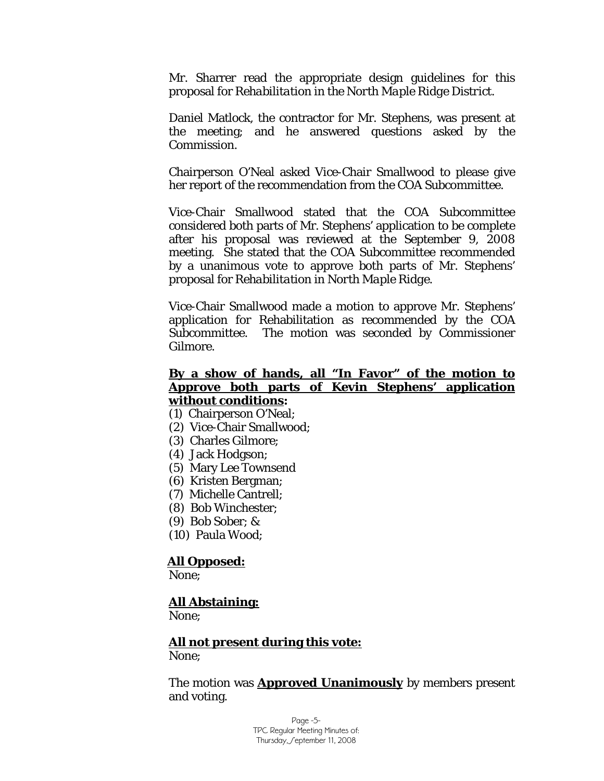Mr. Sharrer read the appropriate design guidelines for this proposal for *Rehabilitation in the North Maple Ridge District.* 

Daniel Matlock, the contractor for Mr. Stephens, was present at the meeting; and he answered questions asked by the Commission.

Chairperson O'Neal asked Vice-Chair Smallwood to please give her report of the recommendation from the COA Subcommittee.

Vice-Chair Smallwood stated that the COA Subcommittee considered both parts of Mr. Stephens' application to be complete after his proposal was reviewed at the September 9, 2008 meeting. She stated that the COA Subcommittee recommended by a unanimous vote to approve both parts of Mr. Stephens' proposal for *Rehabilitation in North Maple Ridge*.

Vice-Chair Smallwood made a motion to approve Mr. Stephens' application for Rehabilitation as recommended by the COA Subcommittee. The motion was seconded by Commissioner Gilmore.

#### **By a show of hands, all "In Favor" of the motion to Approve both parts of Kevin Stephens' application without conditions:**

- (1) Chairperson O'Neal;
- (2) Vice-Chair Smallwood;
- (3) Charles Gilmore;
- (4) Jack Hodgson;
- (5) Mary Lee Townsend
- (6) Kristen Bergman;
- (7) Michelle Cantrell;
- (8) Bob Winchester;
- (9) Bob Sober; &
- (10) Paula Wood;

#### **All Opposed:**

None;

#### **All Abstaining:**

None;

**All not present during this vote:** None;

The motion was **Approved Unanimously** by members present and voting.

> Page -5- TPC Regular Meeting Minutes of: Thursday, Geptember 11, 2008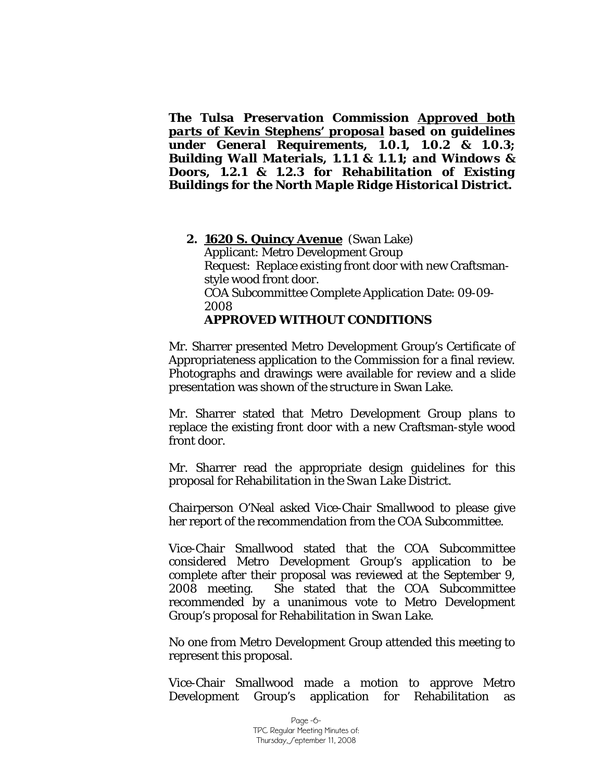*The Tulsa Preservation Commission Approved both parts of Kevin Stephens' proposal based on guidelines under General Requirements, 1.0.1, 1.0.2 & 1.0.3; Building Wall Materials, 1.1.1 & 1.1.1; and Windows & Doors, 1.2.1 & 1.2.3 for Rehabilitation of Existing Buildings for the North Maple Ridge Historical District.*

### **2. 1620 S. Quincy Avenue** (Swan Lake) Applicant: Metro Development Group Request: Replace existing front door with new Craftsmanstyle wood front door. COA Subcommittee Complete Application Date: 09-09- 2008 **APPROVED WITHOUT CONDITIONS**

Mr. Sharrer presented Metro Development Group's Certificate of Appropriateness application to the Commission for a final review. Photographs and drawings were available for review and a slide presentation was shown of the structure in Swan Lake.

Mr. Sharrer stated that Metro Development Group plans to replace the existing front door with a new Craftsman-style wood front door.

Mr. Sharrer read the appropriate design guidelines for this proposal for *Rehabilitation in the Swan Lake District.* 

Chairperson O'Neal asked Vice-Chair Smallwood to please give her report of the recommendation from the COA Subcommittee.

Vice-Chair Smallwood stated that the COA Subcommittee considered Metro Development Group's application to be complete after their proposal was reviewed at the September 9, 2008 meeting. She stated that the COA Subcommittee recommended by a unanimous vote to Metro Development Group's proposal for *Rehabilitation in Swan Lake*.

No one from Metro Development Group attended this meeting to represent this proposal.

Vice-Chair Smallwood made a motion to approve Metro Development Group's application for Rehabilitation as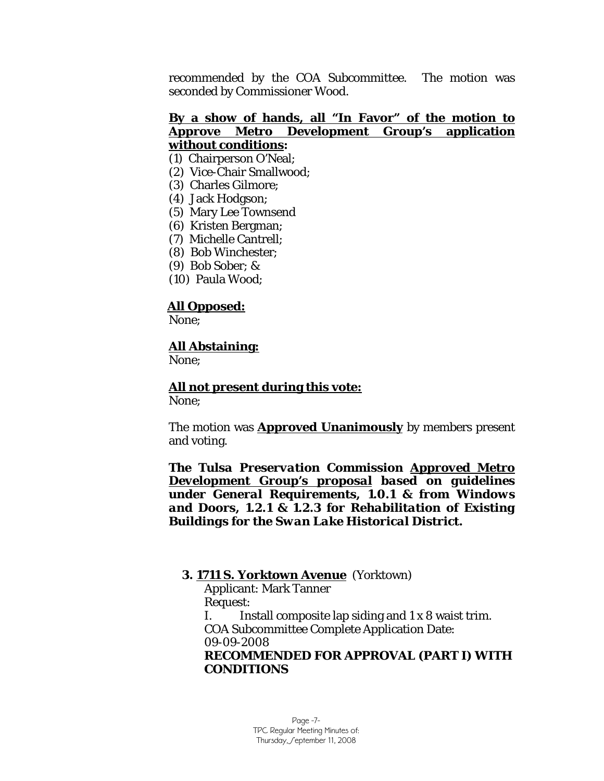recommended by the COA Subcommittee. The motion was seconded by Commissioner Wood.

## **By a show of hands, all "In Favor" of the motion to Approve Metro Development Group's application without conditions:**

- (1) Chairperson O'Neal;
- (2) Vice-Chair Smallwood;
- (3) Charles Gilmore;
- (4) Jack Hodgson;
- (5) Mary Lee Townsend
- (6) Kristen Bergman;
- (7) Michelle Cantrell;
- (8) Bob Winchester;
- (9) Bob Sober; &
- (10) Paula Wood;

#### **All Opposed:**

None;

#### **All Abstaining:**

None;

## **All not present during this vote:**

None;

The motion was **Approved Unanimously** by members present and voting.

*The Tulsa Preservation Commission Approved Metro Development Group's proposal based on guidelines under General Requirements, 1.0.1 & from Windows and Doors, 1.2.1 & 1.2.3 for Rehabilitation of Existing Buildings for the Swan Lake Historical District.*

#### **3. 1711 S. Yorktown Avenue** (Yorktown)

Applicant: Mark Tanner Request: I. Install composite lap siding and 1 x 8 waist trim. COA Subcommittee Complete Application Date: 09-09-2008 **RECOMMENDED FOR APPROVAL (PART I) WITH CONDITIONS**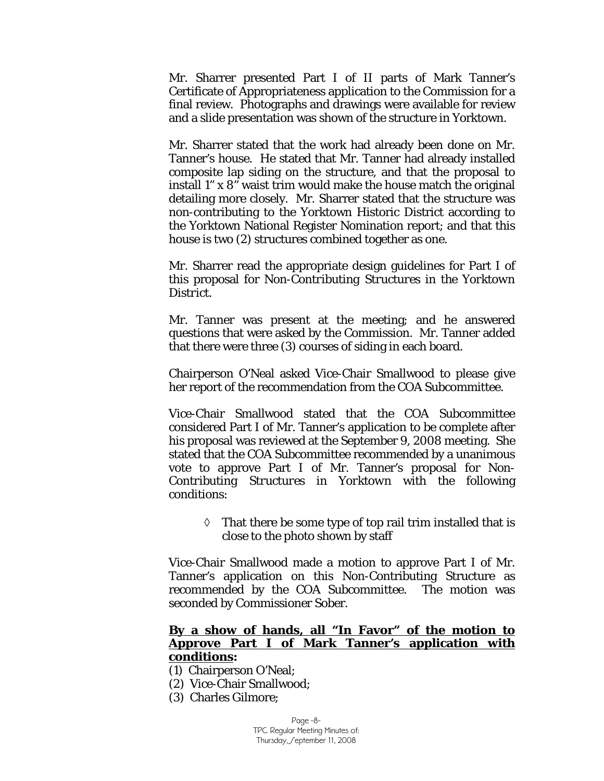Mr. Sharrer presented Part I of II parts of Mark Tanner's Certificate of Appropriateness application to the Commission for a final review. Photographs and drawings were available for review and a slide presentation was shown of the structure in Yorktown.

Mr. Sharrer stated that the work had already been done on Mr. Tanner's house. He stated that Mr. Tanner had already installed composite lap siding on the structure, and that the proposal to install 1" x 8" waist trim would make the house match the original detailing more closely. Mr. Sharrer stated that the structure was non-contributing to the Yorktown Historic District according to the Yorktown National Register Nomination report; and that this house is two (2) structures combined together as one.

Mr. Sharrer read the appropriate design guidelines for Part I of this proposal for *Non-Contributing Structures in the Yorktown District.* 

Mr. Tanner was present at the meeting; and he answered questions that were asked by the Commission. Mr. Tanner added that there were three (3) courses of siding in each board.

Chairperson O'Neal asked Vice-Chair Smallwood to please give her report of the recommendation from the COA Subcommittee.

Vice-Chair Smallwood stated that the COA Subcommittee considered Part I of Mr. Tanner's application to be complete after his proposal was reviewed at the September 9, 2008 meeting. She stated that the COA Subcommittee recommended by a unanimous vote to approve Part I of Mr. Tanner's proposal for *Non-Contributing Structures in Yorktown* with the following conditions:

> $\Diamond$  That there be some type of top rail trim installed that is close to the photo shown by staff

Vice-Chair Smallwood made a motion to approve Part I of Mr. Tanner's application on this Non-Contributing Structure as recommended by the COA Subcommittee. The motion was seconded by Commissioner Sober.

#### **By a show of hands, all "In Favor" of the motion to Approve Part I of Mark Tanner's application with conditions:**

- (1) Chairperson O'Neal;
- (2) Vice-Chair Smallwood;
- (3) Charles Gilmore;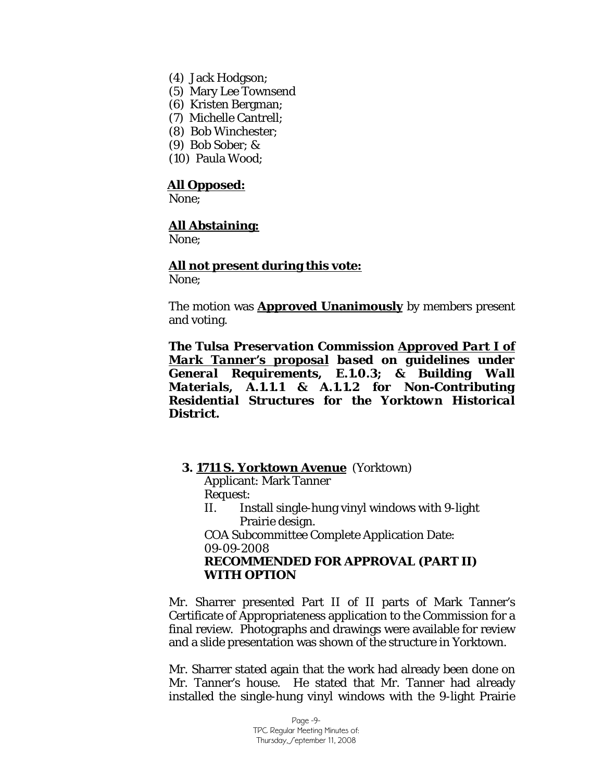- (4) Jack Hodgson;
- (5) Mary Lee Townsend
- (6) Kristen Bergman;
- (7) Michelle Cantrell;
- (8) Bob Winchester;
- (9) Bob Sober; &
- (10) Paula Wood;

#### **All Opposed:**

None;

#### **All Abstaining:**

None;

#### **All not present during this vote:** None;

The motion was **Approved Unanimously** by members present and voting.

*The Tulsa Preservation Commission Approved Part I of Mark Tanner's proposal based on guidelines under General Requirements, E.1.0.3; & Building Wall Materials, A.1.1.1 & A.1.1.2 for Non-Contributing Residential Structures for the Yorktown Historical District.*

#### **3. 1711 S. Yorktown Avenue** (Yorktown)

Applicant: Mark Tanner Request:

II. Install single-hung vinyl windows with 9-light Prairie design.

COA Subcommittee Complete Application Date: 09-09-2008

### **RECOMMENDED FOR APPROVAL (PART II) WITH OPTION**

Mr. Sharrer presented Part II of II parts of Mark Tanner's Certificate of Appropriateness application to the Commission for a final review. Photographs and drawings were available for review and a slide presentation was shown of the structure in Yorktown.

Mr. Sharrer stated again that the work had already been done on Mr. Tanner's house. He stated that Mr. Tanner had already installed the single-hung vinyl windows with the 9-light Prairie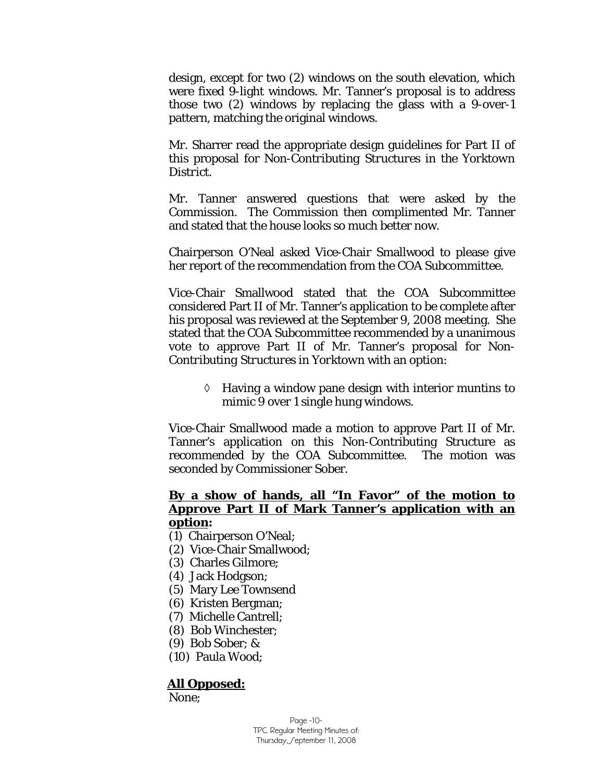design, except for two (2) windows on the south elevation, which were fixed 9-light windows. Mr. Tanner's proposal is to address those two (2) windows by replacing the glass with a 9-over-1 pattern, matching the original windows.

Mr. Sharrer read the appropriate design guidelines for Part II of this proposal for *Non-Contributing Structures in the Yorktown District.* 

Mr. Tanner answered questions that were asked by the Commission. The Commission then complimented Mr. Tanner and stated that the house looks so much better now.

Chairperson O'Neal asked Vice-Chair Smallwood to please give her report of the recommendation from the COA Subcommittee.

Vice-Chair Smallwood stated that the COA Subcommittee considered Part II of Mr. Tanner's application to be complete after his proposal was reviewed at the September 9, 2008 meeting. She stated that the COA Subcommittee recommended by a unanimous vote to approve Part II of Mr. Tanner's proposal for *Non-Contributing Structures in Yorktown* with an option:

> ◊ Having a window pane design with interior muntins to mimic 9 over 1 single hung windows.

Vice-Chair Smallwood made a motion to approve Part II of Mr. Tanner's application on this Non-Contributing Structure as recommended by the COA Subcommittee. The motion was seconded by Commissioner Sober.

## **By a show of hands, all "In Favor" of the motion to Approve Part II of Mark Tanner's application with an option:**

- (1) Chairperson O'Neal;
- (2) Vice-Chair Smallwood;
- (3) Charles Gilmore;
- (4) Jack Hodgson;
- (5) Mary Lee Townsend
- (6) Kristen Bergman;
- (7) Michelle Cantrell;
- (8) Bob Winchester;
- (9) Bob Sober; &
- (10) Paula Wood;

#### **All Opposed:**

None;

Page -10- TPC Regular Meeting Minutes of: Thursday, Geptember 11, 2008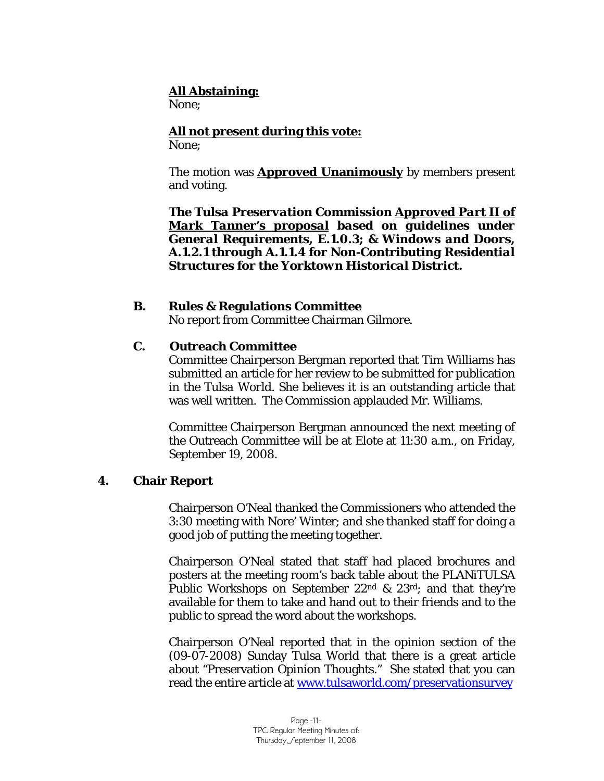## **All Abstaining:**

None;

**All not present during this vote:** None;

The motion was **Approved Unanimously** by members present and voting.

*The Tulsa Preservation Commission Approved Part II of Mark Tanner's proposal based on guidelines under General Requirements, E.1.0.3; & Windows and Doors, A.1.2.1 through A.1.1.4 for Non-Contributing Residential Structures for the Yorktown Historical District.*

## **B. Rules & Regulations Committee**

No report from Committee Chairman Gilmore.

## **C. Outreach Committee**

Committee Chairperson Bergman reported that Tim Williams has submitted an article for her review to be submitted for publication in the *Tulsa World*. She believes it is an outstanding article that was well written. The Commission applauded Mr. Williams.

Committee Chairperson Bergman announced the next meeting of the Outreach Committee will be at Elote at 11:30 a.m., on Friday, September 19, 2008.

## **4. Chair Report**

Chairperson O'Neal thanked the Commissioners who attended the 3:30 meeting with Nore' Winter; and she thanked staff for doing a good job of putting the meeting together.

Chairperson O'Neal stated that staff had placed brochures and posters at the meeting room's back table about the PLANiTULSA Public Workshops on September 22nd & 23rd; and that they're available for them to take and hand out to their friends and to the public to spread the word about the workshops.

Chairperson O'Neal reported that in the opinion section of the (09-07-2008) Sunday Tulsa World that there is a great article about "Preservation Opinion Thoughts." She stated that you can read the entire article at [www.tulsaworld.com/preservationsurvey](http://www.tulsaworld.com/preservationsurvey)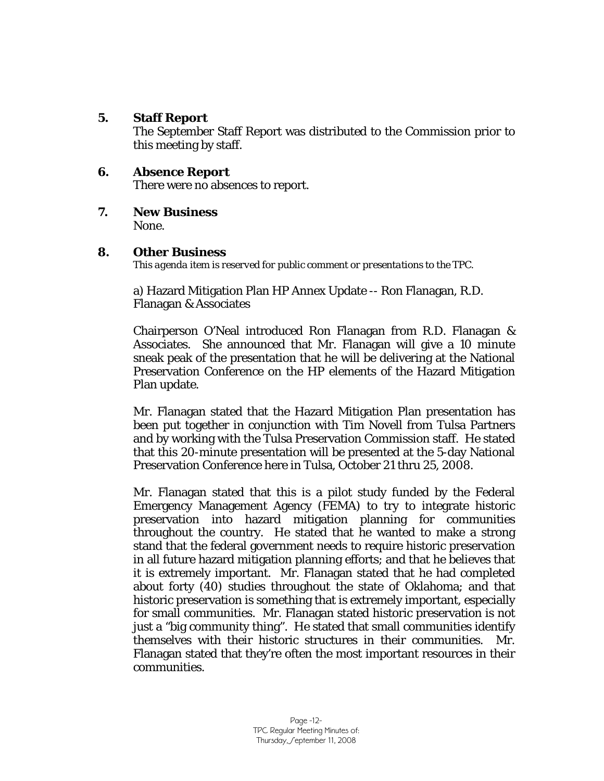## **5. Staff Report**

The September Staff Report was distributed to the Commission prior to this meeting by staff.

## **6. Absence Report**

There were no absences to report.

**7. New Business** 

None.

## **8. Other Business**

*This agenda item is reserved for public comment or presentations to the TPC.* 

a) Hazard Mitigation Plan HP Annex Update -- Ron Flanagan, R.D. Flanagan & Associates

Chairperson O'Neal introduced Ron Flanagan from R.D. Flanagan & Associates. She announced that Mr. Flanagan will give a 10 minute sneak peak of the presentation that he will be delivering at the National Preservation Conference on the HP elements of the Hazard Mitigation Plan update.

Mr. Flanagan stated that the Hazard Mitigation Plan presentation has been put together in conjunction with Tim Novell from Tulsa Partners and by working with the Tulsa Preservation Commission staff. He stated that this 20-minute presentation will be presented at the 5-day National Preservation Conference here in Tulsa, October 21 thru 25, 2008.

Mr. Flanagan stated that this is a pilot study funded by the Federal Emergency Management Agency (FEMA) to try to integrate historic preservation into hazard mitigation planning for communities throughout the country. He stated that he wanted to make a strong stand that the federal government needs to require historic preservation in all future hazard mitigation planning efforts; and that he believes that it is extremely important. Mr. Flanagan stated that he had completed about forty (40) studies throughout the state of Oklahoma; and that historic preservation is something that is extremely important, especially for small communities. Mr. Flanagan stated historic preservation is not just a "big community thing". He stated that small communities identify themselves with their historic structures in their communities. Mr. Flanagan stated that they're often the most important resources in their communities.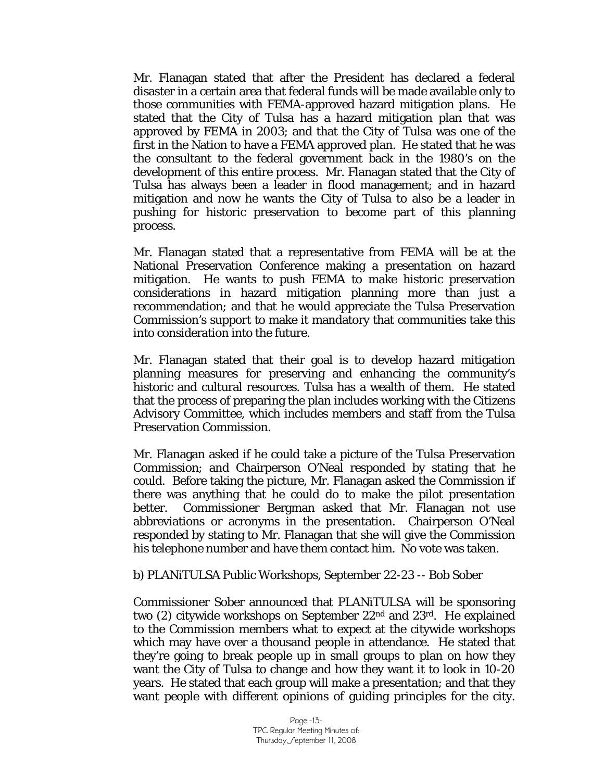Mr. Flanagan stated that after the President has declared a federal disaster in a certain area that federal funds will be made available only to those communities with FEMA-approved hazard mitigation plans. He stated that the City of Tulsa has a hazard mitigation plan that was approved by FEMA in 2003; and that the City of Tulsa was one of the first in the Nation to have a FEMA approved plan. He stated that he was the consultant to the federal government back in the 1980's on the development of this entire process. Mr. Flanagan stated that the City of Tulsa has always been a leader in flood management; and in hazard mitigation and now he wants the City of Tulsa to also be a leader in pushing for historic preservation to become part of this planning process.

Mr. Flanagan stated that a representative from FEMA will be at the National Preservation Conference making a presentation on hazard mitigation. He wants to push FEMA to make historic preservation considerations in hazard mitigation planning more than just a recommendation; and that he would appreciate the Tulsa Preservation Commission's support to make it mandatory that communities take this into consideration into the future.

Mr. Flanagan stated that their goal is to develop hazard mitigation planning measures for preserving and enhancing the community's historic and cultural resources. Tulsa has a wealth of them. He stated that the process of preparing the plan includes working with the Citizens Advisory Committee, which includes members and staff from the Tulsa Preservation Commission.

Mr. Flanagan asked if he could take a picture of the Tulsa Preservation Commission; and Chairperson O'Neal responded by stating that he could. Before taking the picture, Mr. Flanagan asked the Commission if there was anything that he could do to make the pilot presentation better. Commissioner Bergman asked that Mr. Flanagan not use abbreviations or acronyms in the presentation. Chairperson O'Neal responded by stating to Mr. Flanagan that she will give the Commission his telephone number and have them contact him. No vote was taken.

#### b) PLANiTULSA Public Workshops, September 22-23 -- Bob Sober

Commissioner Sober announced that PLANiTULSA will be sponsoring two (2) citywide workshops on September 22nd and 23rd. He explained to the Commission members what to expect at the citywide workshops which may have over a thousand people in attendance. He stated that they're going to break people up in small groups to plan on how they want the City of Tulsa to change and how they want it to look in 10-20 years. He stated that each group will make a presentation; and that they want people with different opinions of guiding principles for the city.